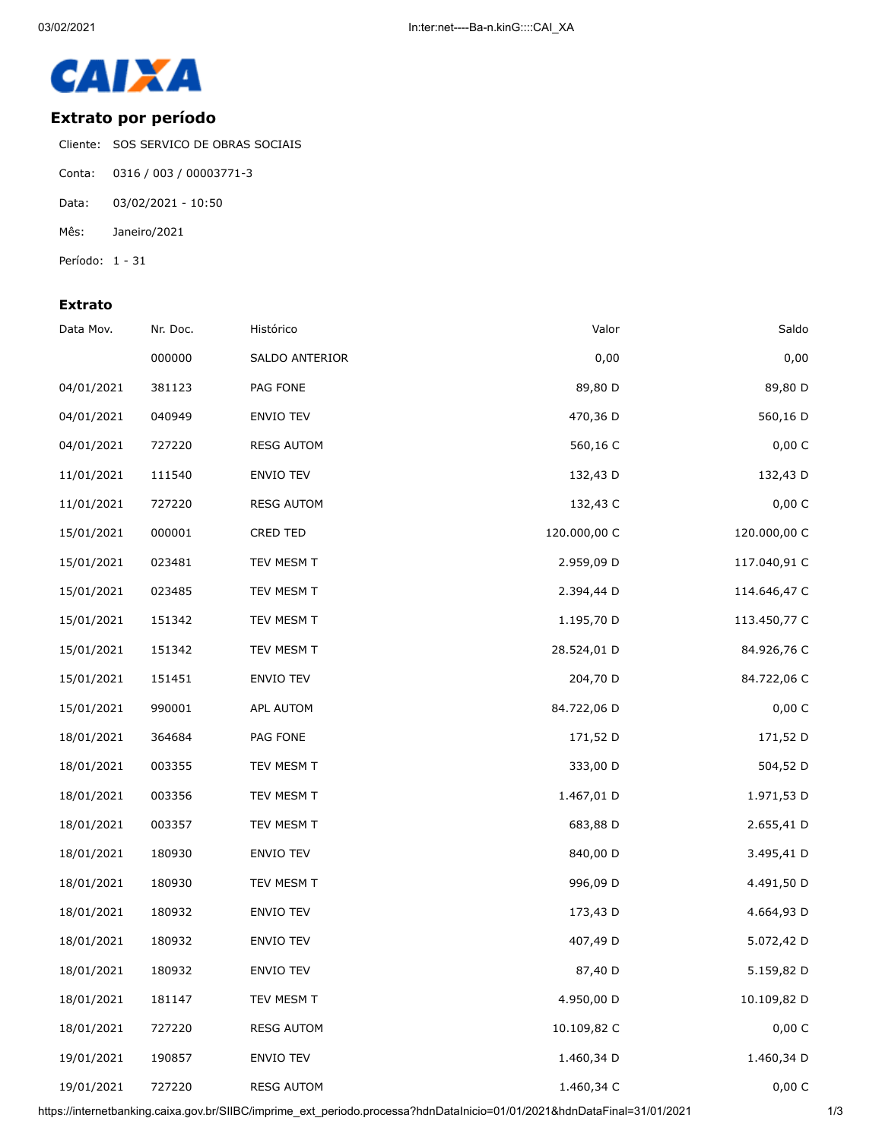

## **Extrato por período**

Cliente: SOS SERVICO DE OBRAS SOCIAIS

- Conta: 0316 / 003 / 00003771-3
- Data: 03/02/2021 10:50
- Mês: Janeiro/2021
- Período: 1 31

## **Extrato**

| Data Mov.  | Nr. Doc. | Histórico         | Valor        | Saldo        |
|------------|----------|-------------------|--------------|--------------|
|            | 000000   | SALDO ANTERIOR    | 0,00         | 0,00         |
| 04/01/2021 | 381123   | PAG FONE          | 89,80 D      | 89,80 D      |
| 04/01/2021 | 040949   | <b>ENVIO TEV</b>  | 470,36 D     | 560,16 D     |
| 04/01/2021 | 727220   | <b>RESG AUTOM</b> | 560,16 C     | 0,00 C       |
| 11/01/2021 | 111540   | ENVIO TEV         | 132,43 D     | 132,43 D     |
| 11/01/2021 | 727220   | <b>RESG AUTOM</b> | 132,43 C     | 0,00 C       |
| 15/01/2021 | 000001   | CRED TED          | 120.000,00 C | 120.000,00 C |
| 15/01/2021 | 023481   | TEV MESM T        | 2.959,09 D   | 117.040,91 C |
| 15/01/2021 | 023485   | TEV MESM T        | 2.394,44 D   | 114.646,47 C |
| 15/01/2021 | 151342   | TEV MESM T        | 1.195,70 D   | 113.450,77 C |
| 15/01/2021 | 151342   | TEV MESM T        | 28.524,01 D  | 84.926,76 C  |
| 15/01/2021 | 151451   | ENVIO TEV         | 204,70 D     | 84.722,06 C  |
| 15/01/2021 | 990001   | APL AUTOM         | 84.722,06 D  | 0,00 C       |
| 18/01/2021 | 364684   | PAG FONE          | 171,52 D     | 171,52 D     |
| 18/01/2021 | 003355   | TEV MESM T        | 333,00 D     | 504,52 D     |
| 18/01/2021 | 003356   | TEV MESM T        | 1.467,01 D   | 1.971,53 D   |
| 18/01/2021 | 003357   | TEV MESM T        | 683,88 D     | 2.655,41 D   |
| 18/01/2021 | 180930   | ENVIO TEV         | 840,00 D     | 3.495,41 D   |
| 18/01/2021 | 180930   | TEV MESM T        | 996,09 D     | 4.491,50 D   |
| 18/01/2021 | 180932   | <b>ENVIO TEV</b>  | 173,43 D     | 4.664,93 D   |
| 18/01/2021 | 180932   | ENVIO TEV         | 407,49 D     | 5.072,42 D   |
| 18/01/2021 | 180932   | ENVIO TEV         | 87,40 D      | 5.159,82 D   |
| 18/01/2021 | 181147   | TEV MESM T        | 4.950,00 D   | 10.109,82 D  |
| 18/01/2021 | 727220   | <b>RESG AUTOM</b> | 10.109,82 C  | 0,00 C       |
| 19/01/2021 | 190857   | ENVIO TEV         | 1.460,34 D   | 1.460,34 D   |
| 19/01/2021 | 727220   | <b>RESG AUTOM</b> | 1.460,34 C   | 0,00 C       |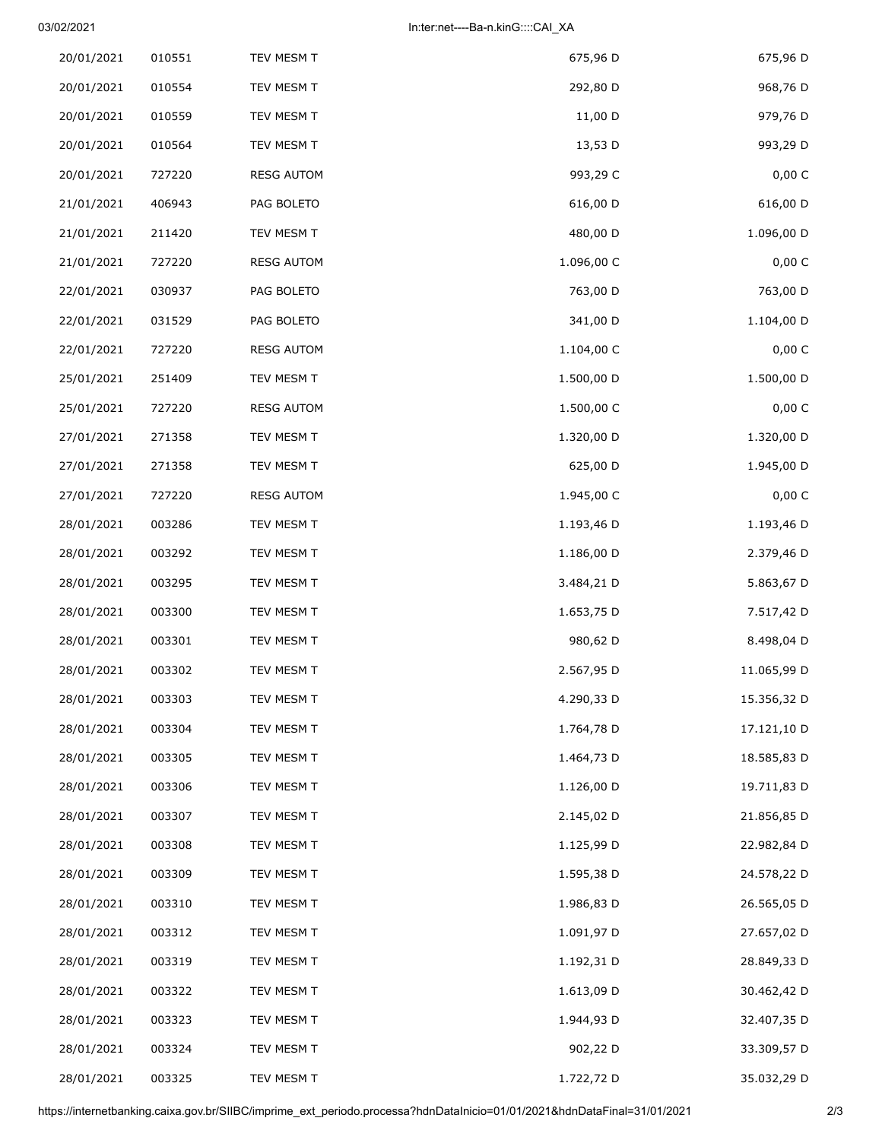## 03/02/2021 In:ter:net----Ba-n.kinG::::CAI\_XA

| 675,96 D    | 675,96 D   | TEV MESM T        | 010551 | 20/01/2021 |
|-------------|------------|-------------------|--------|------------|
| 968,76 D    | 292,80 D   | TEV MESM T        | 010554 | 20/01/2021 |
| 979,76 D    | 11,00 D    | TEV MESM T        | 010559 | 20/01/2021 |
| 993,29 D    | 13,53 D    | TEV MESM T        | 010564 | 20/01/2021 |
| 0,00 C      | 993,29 C   | <b>RESG AUTOM</b> | 727220 | 20/01/2021 |
| 616,00 D    | 616,00 D   | PAG BOLETO        | 406943 | 21/01/2021 |
| 1.096,00 D  | 480,00 D   | TEV MESM T        | 211420 | 21/01/2021 |
| 0,00C       | 1.096,00 C | <b>RESG AUTOM</b> | 727220 | 21/01/2021 |
| 763,00 D    | 763,00 D   | PAG BOLETO        | 030937 | 22/01/2021 |
| 1.104,00 D  | 341,00 D   | PAG BOLETO        | 031529 | 22/01/2021 |
| 0,00 C      | 1.104,00 C | <b>RESG AUTOM</b> | 727220 | 22/01/2021 |
| 1.500,00 D  | 1.500,00 D | TEV MESM T        | 251409 | 25/01/2021 |
| 0,00C       | 1.500,00 C | <b>RESG AUTOM</b> | 727220 | 25/01/2021 |
| 1.320,00 D  | 1.320,00 D | TEV MESM T        | 271358 | 27/01/2021 |
| 1.945,00 D  | 625,00 D   | TEV MESM T        | 271358 | 27/01/2021 |
| 0,00C       | 1.945,00 C | <b>RESG AUTOM</b> | 727220 | 27/01/2021 |
| 1.193,46 D  | 1.193,46 D | TEV MESM T        | 003286 | 28/01/2021 |
| 2.379,46 D  | 1.186,00 D | TEV MESM T        | 003292 | 28/01/2021 |
| 5.863,67 D  | 3.484,21 D | TEV MESM T        | 003295 | 28/01/2021 |
| 7.517,42 D  | 1.653,75 D | TEV MESM T        | 003300 | 28/01/2021 |
| 8.498,04 D  | 980,62 D   | TEV MESM T        | 003301 | 28/01/2021 |
| 11.065,99 D | 2.567,95 D | TEV MESM T        | 003302 | 28/01/2021 |
| 15.356,32 D | 4.290,33 D | TEV MESM T        | 003303 | 28/01/2021 |
| 17.121,10 D | 1.764,78 D | TEV MESM T        | 003304 | 28/01/2021 |
| 18.585,83 D | 1.464,73 D | TEV MESM T        | 003305 | 28/01/2021 |
| 19.711,83 D | 1.126,00 D | TEV MESM T        | 003306 | 28/01/2021 |
| 21.856,85 D | 2.145,02 D | TEV MESM T        | 003307 | 28/01/2021 |
| 22.982,84 D | 1.125,99 D | TEV MESM T        | 003308 | 28/01/2021 |
| 24.578,22 D | 1.595,38 D | TEV MESM T        | 003309 | 28/01/2021 |
| 26.565,05 D | 1.986,83 D | TEV MESM T        | 003310 | 28/01/2021 |
| 27.657,02 D | 1.091,97 D | TEV MESM T        | 003312 | 28/01/2021 |
| 28.849,33 D | 1.192,31 D | TEV MESM T        | 003319 | 28/01/2021 |
| 30.462,42 D | 1.613,09 D | TEV MESM T        | 003322 | 28/01/2021 |
| 32.407,35 D | 1.944,93 D | TEV MESM T        | 003323 | 28/01/2021 |
| 33.309,57 D | 902,22 D   | TEV MESM T        | 003324 | 28/01/2021 |
| 35.032,29 D | 1.722,72 D | TEV MESM T        | 003325 | 28/01/2021 |